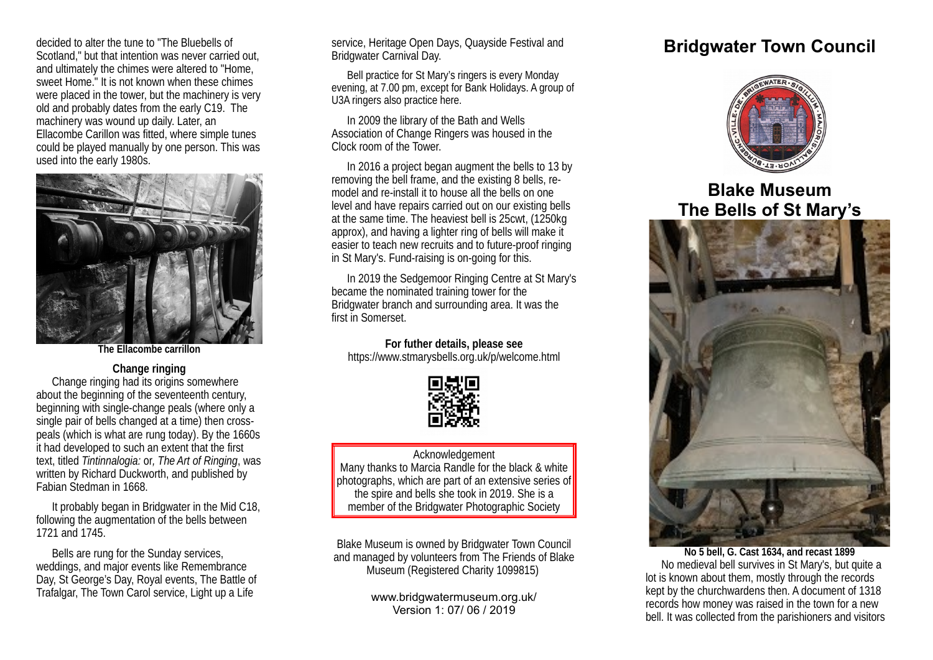decided to alter the tune to "The Bluebells of Scotland," but that intention was never carried out, and ultimately the chimes were altered to "Home, sweet Home." It is not known when these chimes were placed in the tower, but the machinery is very old and probably dates from the early C19. The machinery was wound up daily. Later, an Ellacombe Carillon was fitted, where simple tunes could be played manually by one person. This was used into the early 1980s.



**The Ellacombe carrillon**

## **Change ringing**

Change ringing had its origins somewhere about the beginning of the seventeenth century, beginning with single-change peals (where only a single pair of bells changed at a time) then crosspeals (which is what are rung today). By the 1660s it had developed to such an extent that the first text, titled *Tintinnalogia:* or*, The Art of Ringing*, was written by Richard Duckworth, and published by Fabian Stedman in 1668.

It probably began in Bridgwater in the Mid C18, following the augmentation of the bells between 1721 and 1745.

Bells are rung for the Sunday services, weddings, and major events like Remembrance Day, St George's Day, Royal events, The Battle of Trafalgar, The Town Carol service, Light up a Life

service, Heritage Open Days, Quayside Festival and Bridgwater Carnival Day.

Bell practice for St Mary's ringers is every Monday evening, at 7.00 pm, except for Bank Holidays. A group of U3A ringers also practice here.

In 2009 the library of the Bath and Wells Association of Change Ringers was housed in the Clock room of the Tower.

In 2016 a project began augment the bells to 13 by removing the bell frame, and the existing 8 bells, remodel and re-install it to house all the bells on one level and have repairs carried out on our existing bells at the same time. The heaviest bell is 25cwt, (1250kg approx), and having a lighter ring of bells will make it easier to teach new recruits and to future-proof ringing in St Mary's. Fund-raising is on-going for this.

In 2019 the Sedgemoor Ringing Centre at St Mary's became the nominated training tower for the Bridgwater branch and surrounding area. It was the first in Somerset.

**For futher details, please see** https://www.stmarysbells.org.uk/p/welcome.html



## Acknowledgement Many thanks to Marcia Randle for the black & white photographs, which are part of an extensive series of the spire and bells she took in 2019. She is a member of the Bridgwater Photographic Society

Blake Museum is owned by Bridgwater Town Council and managed by volunteers from The Friends of Blake Museum (Registered Charity 1099815)

> www.bridgwatermuseum.org.uk/ Version 1: 07/ 06 / 2019

## **Bridgwater Town Council**



**Blake Museum The Bells of St Mary's**



**No 5 bell, G. Cast 1634, and recast 1899** No medieval bell survives in St Mary's, but quite a lot is known about them, mostly through the records kept by the churchwardens then. A document of 1318 records how money was raised in the town for a new bell. It was collected from the parishioners and visitors